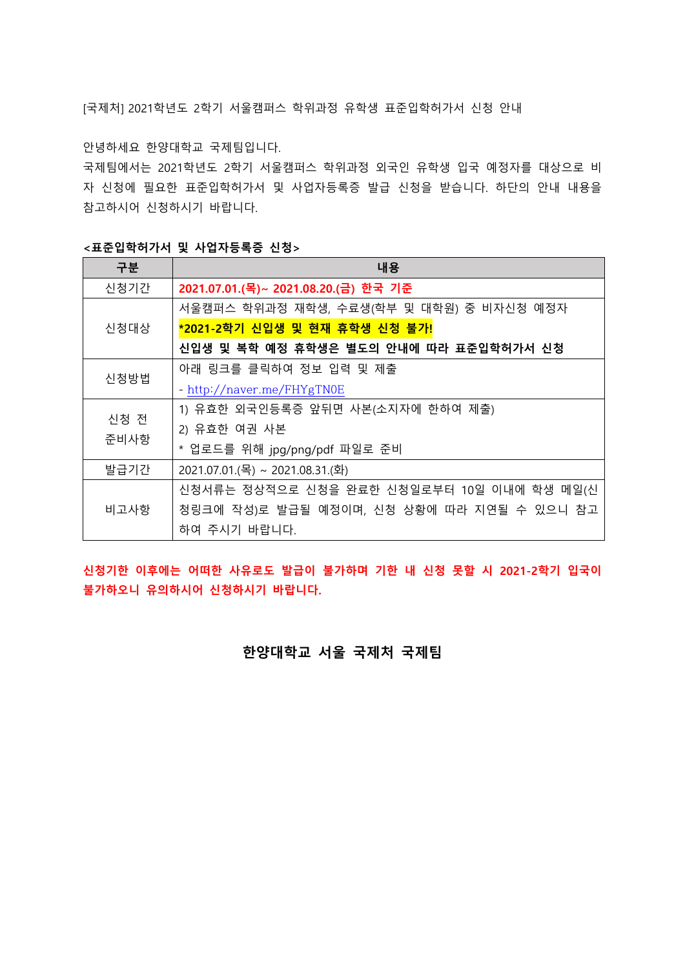[국제처] 2021학년도 2학기 서울캠퍼스 학위과정 유학생 표준입학허가서 신청 안내

안녕하세요 한양대학교 국제팀입니다.

국제팀에서는 2021학년도 2학기 서울캠퍼스 학위과정 외국인 유학생 입국 예정자를 대상으로 비 자 신청에 필요한 표준입학허가서 및 사업자등록증 발급 신청을 받습니다. 하단의 안내 내용을 참고하시어 신청하시기 바랍니다.

<표준입학허가서 및 사업자등록증 신청>

| 구분           | 내용                                         |
|--------------|--------------------------------------------|
| 신청기간         | 2021.07.01.(목)~ 2021.08.20.(금) 한국 기준       |
| 신청대상         | 서울캠퍼스 학위과정 재학생, 수료생(학부 및 대학원) 중 비자신청 예정자   |
|              | *2021-2학기 신입생 및 현재 휴학생 신청 불가!              |
|              | 신입생 및 복학 예정 휴학생은 별도의 안내에 따라 표준입학허가서 신청     |
| 신청방법         | 아래 링크를 클릭하여 정보 입력 및 제출                     |
|              | - http://naver.me/FHYgTN0E                 |
| 신청 전<br>준비사항 | 1) 유효한 외국인등록증 앞뒤면 사본(소지자에 한하여 제출)          |
|              | 2) 유효한 여권 사본                               |
|              | * 업로드를 위해 jpg/png/pdf 파일로 준비               |
| 발급기간         | 2021.07.01.(목) ~ 2021.08.31.(화)            |
| 비고사항         | 신청서류는 정상적으로 신청을 완료한 신청일로부터 10일 이내에 학생 메일(신 |
|              | 청링크에 작성)로 발급될 예정이며, 신청 상황에 따라 지연될 수 있으니 참고 |
|              | 하여 주시기 바랍니다.                               |

신청기한 이후에는 어떠한 사유로도 발급이 불가하며 기한 내 신청 못할 시 2021-2학기 입국이 불가하오니 유의하시어 신청하시기 바랍니다.

한양대학교 서울 국제처 국제팀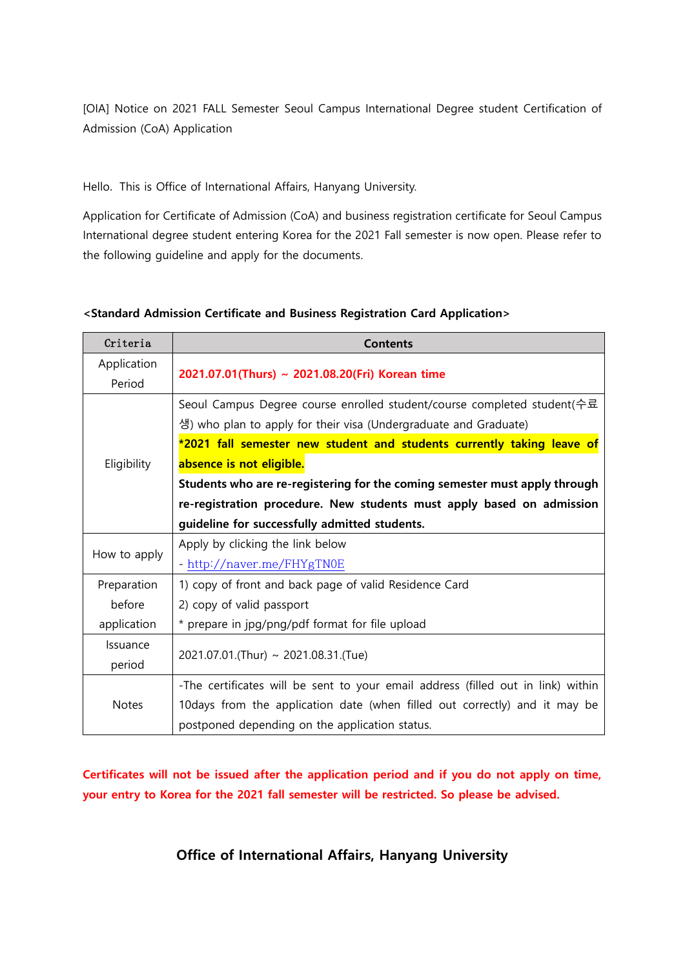[OIA] Notice on 2021 FALL Semester Seoul Campus International Degree student Certification of Admission (CoA) Application

Hello. This is Office of International Affairs, Hanyang University.

Application for Certificate of Admission (CoA) and business registration certificate for Seoul Campus International degree student entering Korea for the 2021 Fall semester is now open. Please refer to the following guideline and apply for the documents.

| Criteria     | <b>Contents</b>                                                                  |
|--------------|----------------------------------------------------------------------------------|
| Application  | 2021.07.01(Thurs) ~ 2021.08.20(Fri) Korean time                                  |
| Period       |                                                                                  |
| Eligibility  | Seoul Campus Degree course enrolled student/course completed student( 수료         |
|              | 생) who plan to apply for their visa (Undergraduate and Graduate)                 |
|              | *2021 fall semester new student and students currently taking leave of           |
|              | absence is not eligible.                                                         |
|              | Students who are re-registering for the coming semester must apply through       |
|              | re-registration procedure. New students must apply based on admission            |
|              | guideline for successfully admitted students.                                    |
| How to apply | Apply by clicking the link below                                                 |
|              | - http://naver.me/FHYgTN0E                                                       |
| Preparation  | 1) copy of front and back page of valid Residence Card                           |
| before       | 2) copy of valid passport                                                        |
| application  | * prepare in jpg/png/pdf format for file upload                                  |
| Issuance     |                                                                                  |
| period       | 2021.07.01.(Thur) ~ 2021.08.31.(Tue)                                             |
| <b>Notes</b> | -The certificates will be sent to your email address (filled out in link) within |
|              | 10 days from the application date (when filled out correctly) and it may be      |
|              | postponed depending on the application status.                                   |

## <Standard Admission Certificate and Business Registration Card Application>

Certificates will not be issued after the application period and if you do not apply on time, your entry to Korea for the 2021 fall semester will be restricted. So please be advised.

Office of International Affairs, Hanyang University